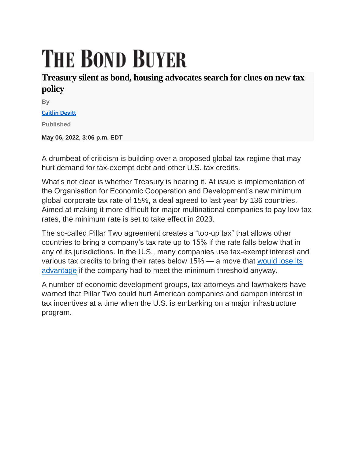## **THE BOND BUYER**

## **Treasury silent as bond, housing advocates search for clues on new tax policy**

**By**

**[Caitlin Devitt](https://www.bondbuyer.com/author/caitlin-devitt)**

**Published**

**May 06, 2022, 3:06 p.m. EDT**

A drumbeat of criticism is building over a proposed global tax regime that may hurt demand for tax-exempt debt and other U.S. tax credits.

What's not clear is whether Treasury is hearing it. At issue is implementation of the Organisation for Economic Cooperation and Development's new minimum global corporate tax rate of 15%, a deal agreed to last year by 136 countries. Aimed at making it more difficult for major multinational companies to pay low tax rates, the minimum rate is set to take effect in 2023.

The so-called Pillar Two agreement creates a "top-up tax" that allows other countries to bring a company's tax rate up to 15% if the rate falls below that in any of its jurisdictions. In the U.S., many companies use tax-exempt interest and various tax credits to bring their rates below 15% — a move that [would lose its](https://www.bondbuyer.com/news/global-tax-rate-could-hurt-muni-demand)  [advantage](https://www.bondbuyer.com/news/global-tax-rate-could-hurt-muni-demand) if the company had to meet the minimum threshold anyway.

A number of economic development groups, tax attorneys and lawmakers have warned that Pillar Two could hurt American companies and dampen interest in tax incentives at a time when the U.S. is embarking on a major infrastructure program.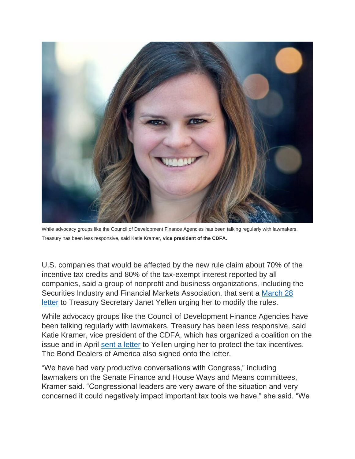

While advocacy groups like the Council of Development Finance Agencies has been talking regularly with lawmakers, Treasury has been less responsive, said Katie Kramer, **vice president of the CDFA.**

U.S. companies that would be affected by the new rule claim about 70% of the incentive tax credits and 80% of the tax-exempt interest reported by all companies, said a group of nonprofit and business organizations, including the Securities Industry and Financial Markets Association, that sent a [March 28](https://www.actontaxreform.com/media/2rajzhox/2022-multitrade-letter-oecd-model-rules-loss-of-tax-incentives-final.pdf)  [letter](https://www.actontaxreform.com/media/2rajzhox/2022-multitrade-letter-oecd-model-rules-loss-of-tax-incentives-final.pdf) to Treasury Secretary Janet Yellen urging her to modify the rules.

While advocacy groups like the Council of Development Finance Agencies have been talking regularly with lawmakers, Treasury has been less responsive, said Katie Kramer, vice president of the CDFA, which has organized a coalition on the issue and in April [sent a letter](https://www.bondbuyer.com/news/yellen-asked-to-exclude-tax-credits-from-global-minimum-tax) to Yellen urging her to protect the tax incentives. The Bond Dealers of America also signed onto the letter.

"We have had very productive conversations with Congress," including lawmakers on the Senate Finance and House Ways and Means committees, Kramer said. "Congressional leaders are very aware of the situation and very concerned it could negatively impact important tax tools we have," she said. "We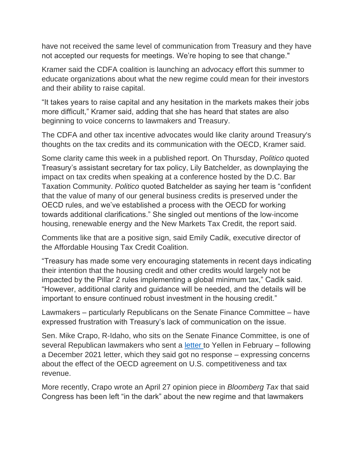have not received the same level of communication from Treasury and they have not accepted our requests for meetings. We're hoping to see that change."

Kramer said the CDFA coalition is launching an advocacy effort this summer to educate organizations about what the new regime could mean for their investors and their ability to raise capital.

"It takes years to raise capital and any hesitation in the markets makes their jobs more difficult," Kramer said, adding that she has heard that states are also beginning to voice concerns to lawmakers and Treasury.

The CDFA and other tax incentive advocates would like clarity around Treasury's thoughts on the tax credits and its communication with the OECD, Kramer said.

Some clarity came this week in a published report. On Thursday, *Politico* quoted Treasury's assistant secretary for tax policy, Lily Batchelder, as downplaying the impact on tax credits when speaking at a conference hosted by the D.C. Bar Taxation Community. *Politico* quoted Batchelder as saying her team is "confident that the value of many of our general business credits is preserved under the OECD rules, and we've established a process with the OECD for working towards additional clarifications." She singled out mentions of the low-income housing, renewable energy and the New Markets Tax Credit, the report said.

Comments like that are a positive sign, said Emily Cadik, executive director of the Affordable Housing Tax Credit Coalition.

"Treasury has made some very encouraging statements in recent days indicating their intention that the housing credit and other credits would largely not be impacted by the Pillar 2 rules implementing a global minimum tax," Cadik said. "However, additional clarity and guidance will be needed, and the details will be important to ensure continued robust investment in the housing credit."

Lawmakers – particularly Republicans on the Senate Finance Committee – have expressed frustration with Treasury's lack of communication on the issue.

Sen. Mike Crapo, R-Idaho, who sits on the Senate Finance Committee, is one of several Republican lawmakers who sent a [letter](https://www.finance.senate.gov/imo/media/doc/finance_republicans_oecd_follow-up.pdf) to Yellen in February – following a December 2021 letter, which they said got no response – expressing concerns about the effect of the OECD agreement on U.S. competitiveness and tax revenue.

More recently, Crapo wrote an April 27 opinion piece in *Bloomberg Tax* that said Congress has been left "in the dark" about the new regime and that lawmakers